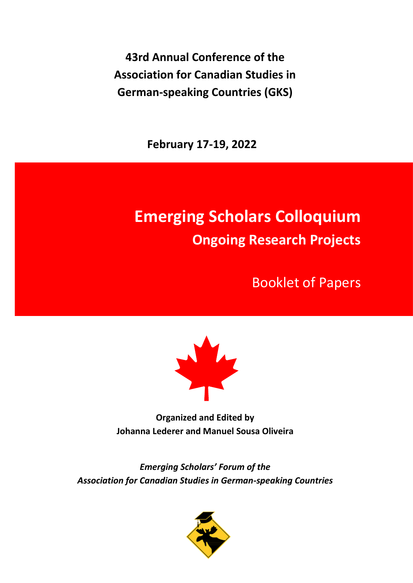**43rd Annual Conference of the Association for Canadian Studies in German-speaking Countries (GKS)**

**February 17-19, 2022**

# **Emerging Scholars Colloquium Ongoing Research Projects**

Booklet of Papers



**Organized and Edited by Johanna Lederer and Manuel Sousa Oliveira**

*Emerging Scholars' Forum of the Association for Canadian Studies in German-speaking Countries*

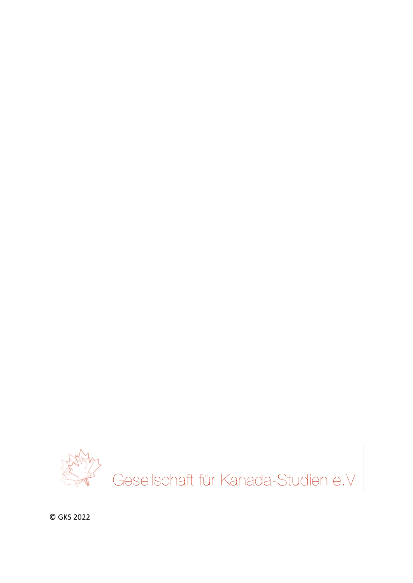

© GKS 2022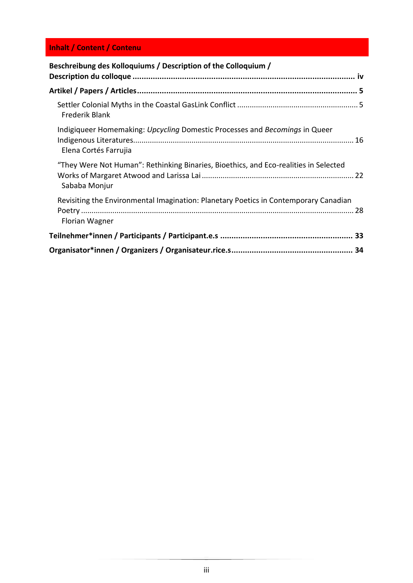## **Inhalt / Content / Contenu**

| Beschreibung des Kolloquiums / Description of the Colloquium /                                         |
|--------------------------------------------------------------------------------------------------------|
|                                                                                                        |
|                                                                                                        |
| <b>Frederik Blank</b>                                                                                  |
| Indigiqueer Homemaking: Upcycling Domestic Processes and Becomings in Queer<br>Elena Cortés Farrujia   |
| "They Were Not Human": Rethinking Binaries, Bioethics, and Eco-realities in Selected<br>Sababa Monjur  |
| Revisiting the Environmental Imagination: Planetary Poetics in Contemporary Canadian<br>Florian Wagner |
|                                                                                                        |
|                                                                                                        |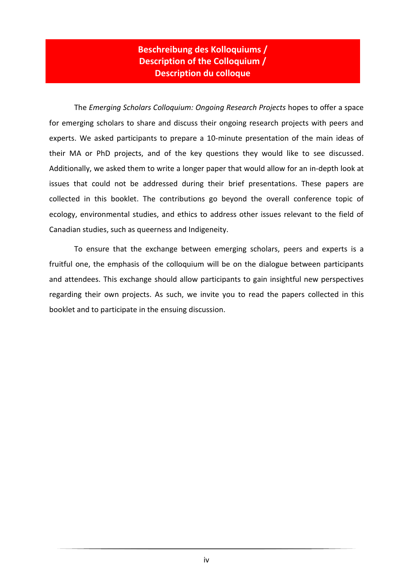## **Beschreibung des Kolloquiums / Description of the Colloquium / Description du colloque**

<span id="page-3-0"></span>The *Emerging Scholars Colloquium: Ongoing Research Projects* hopes to offer a space for emerging scholars to share and discuss their ongoing research projects with peers and experts. We asked participants to prepare a 10-minute presentation of the main ideas of their MA or PhD projects, and of the key questions they would like to see discussed. Additionally, we asked them to write a longer paper that would allow for an in-depth look at issues that could not be addressed during their brief presentations. These papers are collected in this booklet. The contributions go beyond the overall conference topic of ecology, environmental studies, and ethics to address other issues relevant to the field of Canadian studies, such as queerness and Indigeneity.

To ensure that the exchange between emerging scholars, peers and experts is a fruitful one, the emphasis of the colloquium will be on the dialogue between participants and attendees. This exchange should allow participants to gain insightful new perspectives regarding their own projects. As such, we invite you to read the papers collected in this booklet and to participate in the ensuing discussion.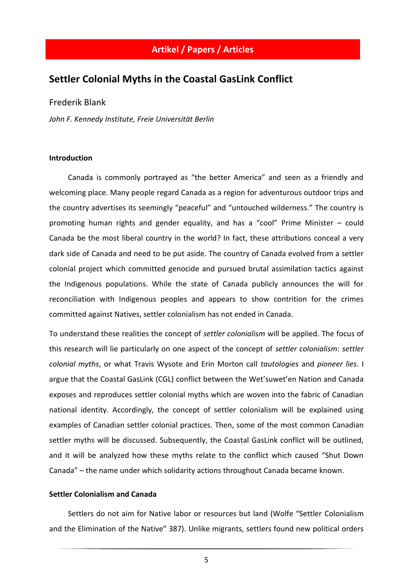### <span id="page-4-0"></span>**Artikel / Papers / Articles**

## <span id="page-4-1"></span>**Settler Colonial Myths in the Coastal GasLink Conflict**

#### Frederik Blank

*John F. Kennedy Institute, Freie Universität Berlin*

#### **Introduction**

Canada is commonly portrayed as "the better America" and seen as a friendly and welcoming place. Many people regard Canada as a region for adventurous outdoor trips and the country advertises its seemingly "peaceful" and "untouched wilderness." The country is promoting human rights and gender equality, and has a "cool" Prime Minister – could Canada be the most liberal country in the world? In fact, these attributions conceal a very dark side of Canada and need to be put aside. The country of Canada evolved from a settler colonial project which committed genocide and pursued brutal assimilation tactics against the Indigenous populations. While the state of Canada publicly announces the will for reconciliation with Indigenous peoples and appears to show contrition for the crimes committed against Natives, settler colonialism has not ended in Canada.

To understand these realities the concept of *settler colonialism* will be applied. The focus of this research will lie particularly on one aspect of the concept of *settler colonialism*: *settler colonial myths*, or what Travis Wysote and Erin Morton call *tautologies* and *pioneer lies*. I argue that the Coastal GasLink (CGL) conflict between the Wet'suwet'en Nation and Canada exposes and reproduces settler colonial myths which are woven into the fabric of Canadian national identity. Accordingly, the concept of settler colonialism will be explained using examples of Canadian settler colonial practices. Then, some of the most common Canadian settler myths will be discussed. Subsequently, the Coastal GasLink conflict will be outlined, and it will be analyzed how these myths relate to the conflict which caused "Shut Down Canada" – the name under which solidarity actions throughout Canada became known.

#### **Settler Colonialism and Canada**

Settlers do not aim for Native labor or resources but land (Wolfe "Settler Colonialism and the Elimination of the Native" 387). Unlike migrants, settlers found new political orders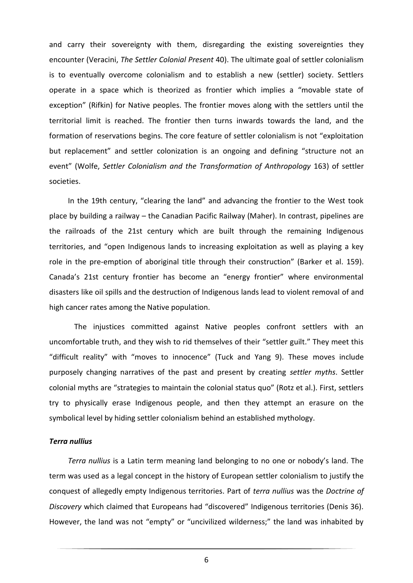and carry their sovereignty with them, disregarding the existing sovereignties they encounter (Veracini, *The Settler Colonial Present* 40). The ultimate goal of settler colonialism is to eventually overcome colonialism and to establish a new (settler) society. Settlers operate in a space which is theorized as frontier which implies a "movable state of exception" (Rifkin) for Native peoples. The frontier moves along with the settlers until the territorial limit is reached. The frontier then turns inwards towards the land, and the formation of reservations begins. The core feature of settler colonialism is not "exploitation but replacement" and settler colonization is an ongoing and defining "structure not an event" (Wolfe, *Settler Colonialism and the Transformation of Anthropology* 163) of settler societies.

In the 19th century, "clearing the land" and advancing the frontier to the West took place by building a railway – the Canadian Pacific Railway (Maher). In contrast, pipelines are the railroads of the 21st century which are built through the remaining Indigenous territories, and "open Indigenous lands to increasing exploitation as well as playing a key role in the pre-emption of aboriginal title through their construction" (Barker et al. 159). Canada's 21st century frontier has become an "energy frontier" where environmental disasters like oil spills and the destruction of Indigenous lands lead to violent removal of and high cancer rates among the Native population.

The injustices committed against Native peoples confront settlers with an uncomfortable truth, and they wish to rid themselves of their "settler guilt." They meet this "difficult reality" with "moves to innocence" (Tuck and Yang 9). These moves include purposely changing narratives of the past and present by creating *settler myths*. Settler colonial myths are "strategies to maintain the colonial status quo" (Rotz et al.). First, settlers try to physically erase Indigenous people, and then they attempt an erasure on the symbolical level by hiding settler colonialism behind an established mythology.

#### *Terra nullius*

*Terra nullius* is a Latin term meaning land belonging to no one or nobody's land. The term was used as a legal concept in the history of European settler colonialism to justify the conquest of allegedly empty Indigenous territories. Part of *terra nullius* was the *Doctrine of Discovery* which claimed that Europeans had "discovered" Indigenous territories (Denis 36). However, the land was not "empty" or "uncivilized wilderness;" the land was inhabited by

6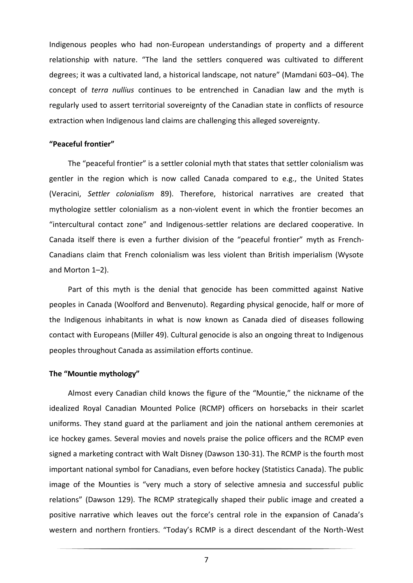Indigenous peoples who had non-European understandings of property and a different relationship with nature. "The land the settlers conquered was cultivated to different degrees; it was a cultivated land, a historical landscape, not nature" (Mamdani 603–04). The concept of *terra nullius* continues to be entrenched in Canadian law and the myth is regularly used to assert territorial sovereignty of the Canadian state in conflicts of resource extraction when Indigenous land claims are challenging this alleged sovereignty.

#### **"Peaceful frontier"**

The "peaceful frontier" is a settler colonial myth that states that settler colonialism was gentler in the region which is now called Canada compared to e.g., the United States (Veracini, *Settler colonialism* 89). Therefore, historical narratives are created that mythologize settler colonialism as a non-violent event in which the frontier becomes an "intercultural contact zone" and Indigenous-settler relations are declared cooperative. In Canada itself there is even a further division of the "peaceful frontier" myth as French-Canadians claim that French colonialism was less violent than British imperialism (Wysote and Morton 1–2).

Part of this myth is the denial that genocide has been committed against Native peoples in Canada (Woolford and Benvenuto). Regarding physical genocide, half or more of the Indigenous inhabitants in what is now known as Canada died of diseases following contact with Europeans (Miller 49). Cultural genocide is also an ongoing threat to Indigenous peoples throughout Canada as assimilation efforts continue.

#### **The "Mountie mythology"**

Almost every Canadian child knows the figure of the "Mountie," the nickname of the idealized Royal Canadian Mounted Police (RCMP) officers on horsebacks in their scarlet uniforms. They stand guard at the parliament and join the national anthem ceremonies at ice hockey games. Several movies and novels praise the police officers and the RCMP even signed a marketing contract with Walt Disney (Dawson 130-31). The RCMP is the fourth most important national symbol for Canadians, even before hockey (Statistics Canada). The public image of the Mounties is "very much a story of selective amnesia and successful public relations" (Dawson 129). The RCMP strategically shaped their public image and created a positive narrative which leaves out the force's central role in the expansion of Canada's western and northern frontiers. "Today's RCMP is a direct descendant of the North-West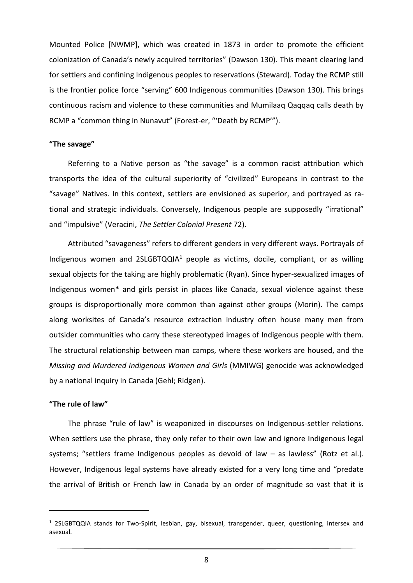Mounted Police [NWMP], which was created in 1873 in order to promote the efficient colonization of Canada's newly acquired territories" (Dawson 130). This meant clearing land for settlers and confining Indigenous peoples to reservations (Steward). Today the RCMP still is the frontier police force "serving" 600 Indigenous communities (Dawson 130). This brings continuous racism and violence to these communities and Mumilaaq Qaqqaq calls death by RCMP a "common thing in Nunavut" (Forest-er, "'Death by RCMP'").

#### **"The savage"**

Referring to a Native person as "the savage" is a common racist attribution which transports the idea of the cultural superiority of "civilized" Europeans in contrast to the "savage" Natives. In this context, settlers are envisioned as superior, and portrayed as rational and strategic individuals. Conversely, Indigenous people are supposedly "irrational" and "impulsive" (Veracini, *The Settler Colonial Present* 72).

Attributed "savageness" refers to different genders in very different ways. Portrayals of Indigenous women and  $2SLGBTQQIA<sup>1</sup>$  people as victims, docile, compliant, or as willing sexual objects for the taking are highly problematic (Ryan). Since hyper-sexualized images of Indigenous women\* and girls persist in places like Canada, sexual violence against these groups is disproportionally more common than against other groups (Morin). The camps along worksites of Canada's resource extraction industry often house many men from outsider communities who carry these stereotyped images of Indigenous people with them. The structural relationship between man camps, where these workers are housed, and the *Missing and Murdered Indigenous Women and Girls* (MMIWG) genocide was acknowledged by a national inquiry in Canada (Gehl; Ridgen).

#### **"The rule of law"**

The phrase "rule of law" is weaponized in discourses on Indigenous-settler relations. When settlers use the phrase, they only refer to their own law and ignore Indigenous legal systems; "settlers frame Indigenous peoples as devoid of law – as lawless" (Rotz et al.). However, Indigenous legal systems have already existed for a very long time and "predate the arrival of British or French law in Canada by an order of magnitude so vast that it is

 $1$  2SLGBTQQIA stands for Two-Spirit, lesbian, gay, bisexual, transgender, queer, questioning, intersex and asexual.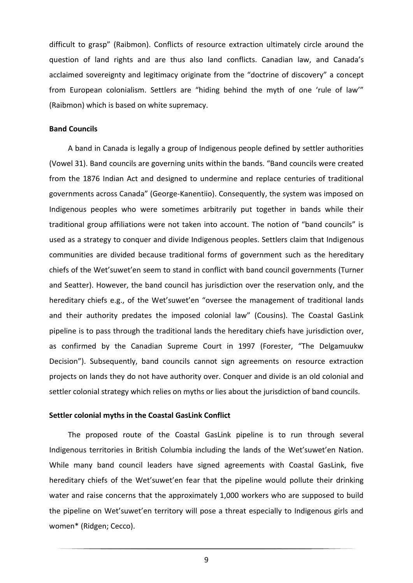difficult to grasp" (Raibmon). Conflicts of resource extraction ultimately circle around the question of land rights and are thus also land conflicts. Canadian law, and Canada's acclaimed sovereignty and legitimacy originate from the "doctrine of discovery" a concept from European colonialism. Settlers are "hiding behind the myth of one 'rule of law'" (Raibmon) which is based on white supremacy.

#### **Band Councils**

A band in Canada is legally a group of Indigenous people defined by settler authorities (Vowel 31). Band councils are governing units within the bands. "Band councils were created from the 1876 Indian Act and designed to undermine and replace centuries of traditional governments across Canada" (George-Kanentiio). Consequently, the system was imposed on Indigenous peoples who were sometimes arbitrarily put together in bands while their traditional group affiliations were not taken into account. The notion of "band councils" is used as a strategy to conquer and divide Indigenous peoples. Settlers claim that Indigenous communities are divided because traditional forms of government such as the hereditary chiefs of the Wet'suwet'en seem to stand in conflict with band council governments (Turner and Seatter). However, the band council has jurisdiction over the reservation only, and the hereditary chiefs e.g., of the Wet'suwet'en "oversee the management of traditional lands and their authority predates the imposed colonial law" (Cousins). The Coastal GasLink pipeline is to pass through the traditional lands the hereditary chiefs have jurisdiction over, as confirmed by the Canadian Supreme Court in 1997 (Forester, "The Delgamuukw Decision"). Subsequently, band councils cannot sign agreements on resource extraction projects on lands they do not have authority over. Conquer and divide is an old colonial and settler colonial strategy which relies on myths or lies about the jurisdiction of band councils.

#### **Settler colonial myths in the Coastal GasLink Conflict**

The proposed route of the Coastal GasLink pipeline is to run through several Indigenous territories in British Columbia including the lands of the Wet'suwet'en Nation. While many band council leaders have signed agreements with Coastal GasLink, five hereditary chiefs of the Wet'suwet'en fear that the pipeline would pollute their drinking water and raise concerns that the approximately 1,000 workers who are supposed to build the pipeline on Wet'suwet'en territory will pose a threat especially to Indigenous girls and women\* (Ridgen; Cecco).

9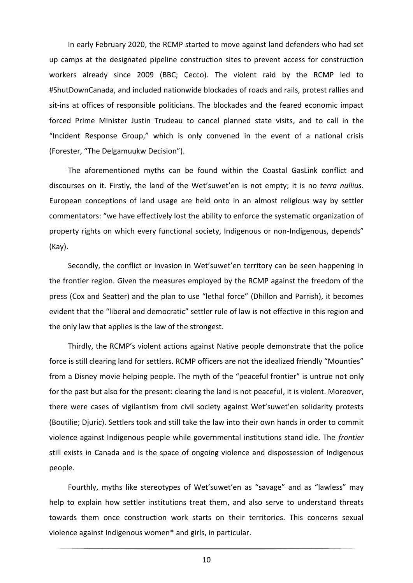In early February 2020, the RCMP started to move against land defenders who had set up camps at the designated pipeline construction sites to prevent access for construction workers already since 2009 (BBC; Cecco). The violent raid by the RCMP led to #ShutDownCanada, and included nationwide blockades of roads and rails, protest rallies and sit-ins at offices of responsible politicians. The blockades and the feared economic impact forced Prime Minister Justin Trudeau to cancel planned state visits, and to call in the "Incident Response Group," which is only convened in the event of a national crisis (Forester, "The Delgamuukw Decision").

The aforementioned myths can be found within the Coastal GasLink conflict and discourses on it. Firstly, the land of the Wet'suwet'en is not empty; it is no *terra nullius*. European conceptions of land usage are held onto in an almost religious way by settler commentators: "we have effectively lost the ability to enforce the systematic organization of property rights on which every functional society, Indigenous or non-Indigenous, depends" (Kay).

Secondly, the conflict or invasion in Wet'suwet'en territory can be seen happening in the frontier region. Given the measures employed by the RCMP against the freedom of the press (Cox and Seatter) and the plan to use "lethal force" (Dhillon and Parrish), it becomes evident that the "liberal and democratic" settler rule of law is not effective in this region and the only law that applies is the law of the strongest.

Thirdly, the RCMP's violent actions against Native people demonstrate that the police force is still clearing land for settlers. RCMP officers are not the idealized friendly "Mounties" from a Disney movie helping people. The myth of the "peaceful frontier" is untrue not only for the past but also for the present: clearing the land is not peaceful, it is violent. Moreover, there were cases of vigilantism from civil society against Wet'suwet'en solidarity protests (Boutilie; Djuric). Settlers took and still take the law into their own hands in order to commit violence against Indigenous people while governmental institutions stand idle. The *frontier* still exists in Canada and is the space of ongoing violence and dispossession of Indigenous people.

Fourthly, myths like stereotypes of Wet'suwet'en as "savage" and as "lawless" may help to explain how settler institutions treat them, and also serve to understand threats towards them once construction work starts on their territories. This concerns sexual violence against Indigenous women\* and girls, in particular.

10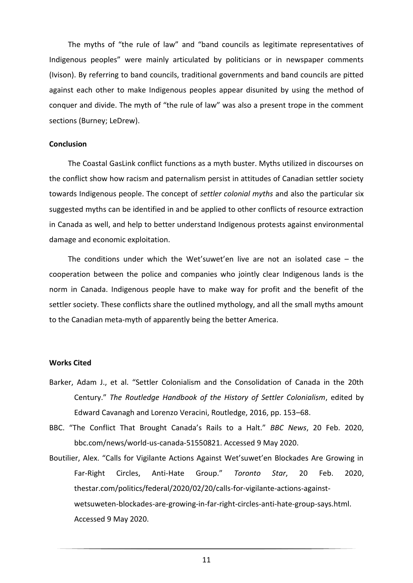The myths of "the rule of law" and "band councils as legitimate representatives of Indigenous peoples" were mainly articulated by politicians or in newspaper comments (Ivison). By referring to band councils, traditional governments and band councils are pitted against each other to make Indigenous peoples appear disunited by using the method of conquer and divide. The myth of "the rule of law" was also a present trope in the comment sections (Burney; LeDrew).

#### **Conclusion**

The Coastal GasLink conflict functions as a myth buster. Myths utilized in discourses on the conflict show how racism and paternalism persist in attitudes of Canadian settler society towards Indigenous people. The concept of *settler colonial myths* and also the particular six suggested myths can be identified in and be applied to other conflicts of resource extraction in Canada as well, and help to better understand Indigenous protests against environmental damage and economic exploitation.

The conditions under which the Wet'suwet'en live are not an isolated case – the cooperation between the police and companies who jointly clear Indigenous lands is the norm in Canada. Indigenous people have to make way for profit and the benefit of the settler society. These conflicts share the outlined mythology, and all the small myths amount to the Canadian meta-myth of apparently being the better America.

#### **Works Cited**

- Barker, Adam J., et al. "Settler Colonialism and the Consolidation of Canada in the 20th Century." *The Routledge Handbook of the History of Settler Colonialism*, edited by Edward Cavanagh and Lorenzo Veracini, Routledge, 2016, pp. 153–68.
- BBC. "The Conflict That Brought Canada's Rails to a Halt." *BBC News*, 20 Feb. 2020, bbc.com/news/world-us-canada-51550821. Accessed 9 May 2020.
- Boutilier, Alex. "Calls for Vigilante Actions Against Wet'suwet'en Blockades Are Growing in Far-Right Circles, Anti-Hate Group." *Toronto Star*, 20 Feb. 2020, thestar.com/politics/federal/2020/02/20/calls-for-vigilante-actions-againstwetsuweten-blockades-are-growing-in-far-right-circles-anti-hate-group-says.html. Accessed 9 May 2020.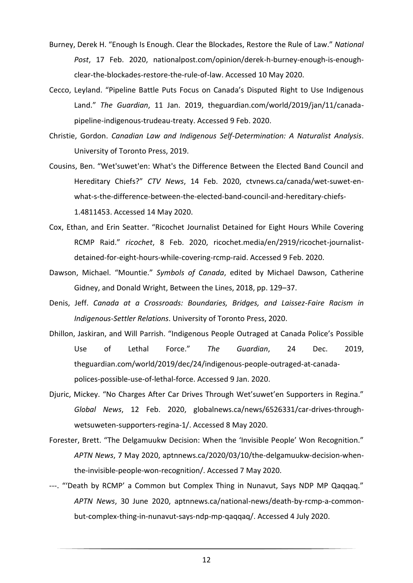- Burney, Derek H. "Enough Is Enough. Clear the Blockades, Restore the Rule of Law." *National Post*, 17 Feb. 2020, nationalpost.com/opinion/derek-h-burney-enough-is-enoughclear-the-blockades-restore-the-rule-of-law. Accessed 10 May 2020.
- Cecco, Leyland. "Pipeline Battle Puts Focus on Canada's Disputed Right to Use Indigenous Land." *The Guardian*, 11 Jan. 2019, theguardian.com/world/2019/jan/11/canadapipeline-indigenous-trudeau-treaty. Accessed 9 Feb. 2020.
- Christie, Gordon. *Canadian Law and Indigenous Self-Determination: A Naturalist Analysis*. University of Toronto Press, 2019.
- Cousins, Ben. "Wet'suwet'en: What's the Difference Between the Elected Band Council and Hereditary Chiefs?" *CTV News*, 14 Feb. 2020, ctvnews.ca/canada/wet-suwet-enwhat-s-the-difference-between-the-elected-band-council-and-hereditary-chiefs-1.4811453. Accessed 14 May 2020.
- Cox, Ethan, and Erin Seatter. "Ricochet Journalist Detained for Eight Hours While Covering RCMP Raid." *ricochet*, 8 Feb. 2020, ricochet.media/en/2919/ricochet-journalistdetained-for-eight-hours-while-covering-rcmp-raid. Accessed 9 Feb. 2020.
- Dawson, Michael. "Mountie." *Symbols of Canada*, edited by Michael Dawson, Catherine Gidney, and Donald Wright, Between the Lines, 2018, pp. 129–37.
- Denis, Jeff. *Canada at a Crossroads: Boundaries, Bridges, and Laissez-Faire Racism in Indigenous-Settler Relations*. University of Toronto Press, 2020.
- Dhillon, Jaskiran, and Will Parrish. "Indigenous People Outraged at Canada Police's Possible Use of Lethal Force." *The Guardian*, 24 Dec. 2019, theguardian.com/world/2019/dec/24/indigenous-people-outraged-at-canadapolices-possible-use-of-lethal-force. Accessed 9 Jan. 2020.
- Djuric, Mickey. "No Charges After Car Drives Through Wet'suwet'en Supporters in Regina." *Global News*, 12 Feb. 2020, globalnews.ca/news/6526331/car-drives-throughwetsuweten-supporters-regina-1/. Accessed 8 May 2020.
- Forester, Brett. "The Delgamuukw Decision: When the 'Invisible People' Won Recognition." *APTN News*, 7 May 2020, aptnnews.ca/2020/03/10/the-delgamuukw-decision-whenthe-invisible-people-won-recognition/. Accessed 7 May 2020.
- ---. "'Death by RCMP' a Common but Complex Thing in Nunavut, Says NDP MP Qaqqaq." *APTN News*, 30 June 2020, aptnnews.ca/national-news/death-by-rcmp-a-commonbut-complex-thing-in-nunavut-says-ndp-mp-qaqqaq/. Accessed 4 July 2020.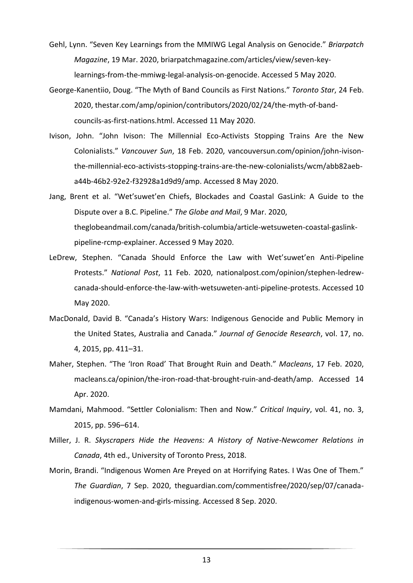- Gehl, Lynn. "Seven Key Learnings from the MMIWG Legal Analysis on Genocide." *Briarpatch Magazine*, 19 Mar. 2020, briarpatchmagazine.com/articles/view/seven-keylearnings-from-the-mmiwg-legal-analysis-on-genocide. Accessed 5 May 2020.
- George-Kanentiio, Doug. "The Myth of Band Councils as First Nations." *Toronto Star*, 24 Feb. 2020, thestar.com/amp/opinion/contributors/2020/02/24/the-myth-of-bandcouncils-as-first-nations.html. Accessed 11 May 2020.
- Ivison, John. "John Ivison: The Millennial Eco-Activists Stopping Trains Are the New Colonialists." *Vancouver Sun*, 18 Feb. 2020, vancouversun.com/opinion/john-ivisonthe-millennial-eco-activists-stopping-trains-are-the-new-colonialists/wcm/abb82aeba44b-46b2-92e2-f32928a1d9d9/amp. Accessed 8 May 2020.
- Jang, Brent et al. "Wet'suwet'en Chiefs, Blockades and Coastal GasLink: A Guide to the Dispute over a B.C. Pipeline." *The Globe and Mail*, 9 Mar. 2020, theglobeandmail.com/canada/british-columbia/article-wetsuweten-coastal-gaslinkpipeline-rcmp-explainer. Accessed 9 May 2020.
- LeDrew, Stephen. "Canada Should Enforce the Law with Wet'suwet'en Anti-Pipeline Protests." *National Post*, 11 Feb. 2020, nationalpost.com/opinion/stephen-ledrewcanada-should-enforce-the-law-with-wetsuweten-anti-pipeline-protests. Accessed 10 May 2020.
- MacDonald, David B. "Canada's History Wars: Indigenous Genocide and Public Memory in the United States, Australia and Canada." *Journal of Genocide Research*, vol. 17, no. 4, 2015, pp. 411–31.
- Maher, Stephen. "The 'Iron Road' That Brought Ruin and Death." *Macleans*, 17 Feb. 2020, macleans.ca/opinion/the-iron-road-that-brought-ruin-and-death/amp. Accessed 14 Apr. 2020.
- Mamdani, Mahmood. "Settler Colonialism: Then and Now." *Critical Inquiry*, vol. 41, no. 3, 2015, pp. 596–614.
- Miller, J. R. *Skyscrapers Hide the Heavens: A History of Native-Newcomer Relations in Canada*, 4th ed., University of Toronto Press, 2018.
- Morin, Brandi. "Indigenous Women Are Preyed on at Horrifying Rates. I Was One of Them." *The Guardian*, 7 Sep. 2020, theguardian.com/commentisfree/2020/sep/07/canadaindigenous-women-and-girls-missing. Accessed 8 Sep. 2020.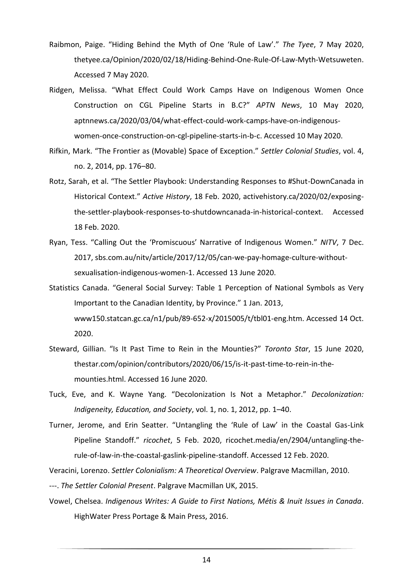- Raibmon, Paige. "Hiding Behind the Myth of One 'Rule of Law'." *The Tyee*, 7 May 2020, thetyee.ca/Opinion/2020/02/18/Hiding-Behind-One-Rule-Of-Law-Myth-Wetsuweten. Accessed 7 May 2020.
- Ridgen, Melissa. "What Effect Could Work Camps Have on Indigenous Women Once Construction on CGL Pipeline Starts in B.C?" *APTN News*, 10 May 2020, aptnnews.ca/2020/03/04/what-effect-could-work-camps-have-on-indigenouswomen-once-construction-on-cgl-pipeline-starts-in-b-c. Accessed 10 May 2020.
- Rifkin, Mark. "The Frontier as (Movable) Space of Exception." *Settler Colonial Studies*, vol. 4, no. 2, 2014, pp. 176–80.
- Rotz, Sarah, et al. "The Settler Playbook: Understanding Responses to #Shut-DownCanada in Historical Context." *Active History*, 18 Feb. 2020, activehistory.ca/2020/02/exposingthe-settler-playbook-responses-to-shutdowncanada-in-historical-context. Accessed 18 Feb. 2020.
- Ryan, Tess. "Calling Out the 'Promiscuous' Narrative of Indigenous Women." *NITV*, 7 Dec. 2017, sbs.com.au/nitv/article/2017/12/05/can-we-pay-homage-culture-withoutsexualisation-indigenous-women-1. Accessed 13 June 2020.
- Statistics Canada. "General Social Survey: Table 1 Perception of National Symbols as Very Important to the Canadian Identity, by Province." 1 Jan. 2013, www150.statcan.gc.ca/n1/pub/89-652-x/2015005/t/tbl01-eng.htm. Accessed 14 Oct. 2020.
- Steward, Gillian. "Is It Past Time to Rein in the Mounties?" *Toronto Star*, 15 June 2020, thestar.com/opinion/contributors/2020/06/15/is-it-past-time-to-rein-in-themounties.html. Accessed 16 June 2020.
- Tuck, Eve, and K. Wayne Yang. "Decolonization Is Not a Metaphor." *Decolonization: Indigeneity, Education, and Society*, vol. 1, no. 1, 2012, pp. 1–40.
- Turner, Jerome, and Erin Seatter. "Untangling the 'Rule of Law' in the Coastal Gas-Link Pipeline Standoff." *ricochet*, 5 Feb. 2020, ricochet.media/en/2904/untangling-therule-of-law-in-the-coastal-gaslink-pipeline-standoff. Accessed 12 Feb. 2020.

Veracini, Lorenzo. *Settler Colonialism: A Theoretical Overview*. Palgrave Macmillan, 2010.

---. *The Settler Colonial Present*. Palgrave Macmillan UK, 2015.

Vowel, Chelsea. *Indigenous Writes: A Guide to First Nations, Métis & Inuit Issues in Canada*. HighWater Press Portage & Main Press, 2016.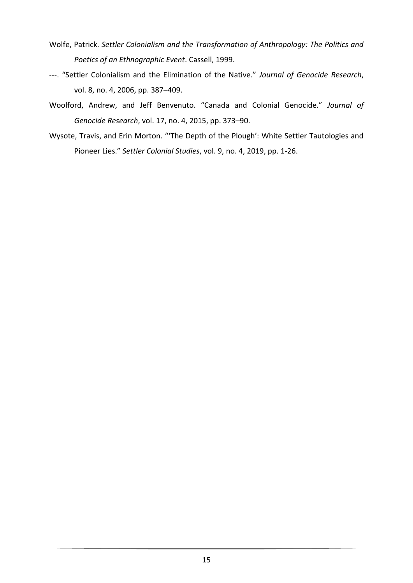- Wolfe, Patrick. *Settler Colonialism and the Transformation of Anthropology: The Politics and Poetics of an Ethnographic Event*. Cassell, 1999.
- ---. "Settler Colonialism and the Elimination of the Native." *Journal of Genocide Research*, vol. 8, no. 4, 2006, pp. 387–409.
- Woolford, Andrew, and Jeff Benvenuto. "Canada and Colonial Genocide." *Journal of Genocide Research*, vol. 17, no. 4, 2015, pp. 373–90.
- Wysote, Travis, and Erin Morton. "'The Depth of the Plough': White Settler Tautologies and Pioneer Lies." *Settler Colonial Studies*, vol. 9, no. 4, 2019, pp. 1-26.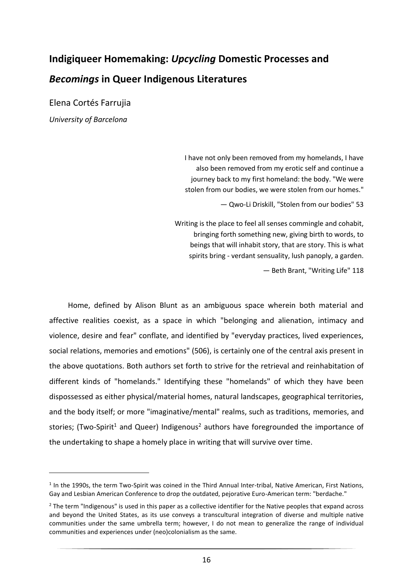## <span id="page-15-0"></span>**Indigiqueer Homemaking:** *Upcycling* **Domestic Processes and**  *Becomings* **in Queer Indigenous Literatures**

Elena Cortés Farrujia *University of Barcelona*

> I have not only been removed from my homelands, I have also been removed from my erotic self and continue a journey back to my first homeland: the body. "We were stolen from our bodies, we were stolen from our homes."

> > ― Qwo-Li Driskill, "Stolen from our bodies" 53

Writing is the place to feel all senses commingle and cohabit, bringing forth something new, giving birth to words, to beings that will inhabit story, that are story. This is what spirits bring - verdant sensuality, lush panoply, a garden.

― Beth Brant, "Writing Life" 118

Home, defined by Alison Blunt as an ambiguous space wherein both material and affective realities coexist, as a space in which "belonging and alienation, intimacy and violence, desire and fear" conflate, and identified by "everyday practices, lived experiences, social relations, memories and emotions" (506), is certainly one of the central axis present in the above quotations. Both authors set forth to strive for the retrieval and reinhabitation of different kinds of "homelands." Identifying these "homelands" of which they have been dispossessed as either physical/material homes, natural landscapes, geographical territories, and the body itself; or more "imaginative/mental" realms, such as traditions, memories, and stories; (Two-Spirit<sup>1</sup> and Queer) Indigenous<sup>2</sup> authors have foregrounded the importance of the undertaking to shape a homely place in writing that will survive over time.

<sup>&</sup>lt;sup>1</sup> In the 1990s, the term Two-Spirit was coined in the Third Annual Inter-tribal, Native American, First Nations, Gay and Lesbian American Conference to drop the outdated, pejorative Euro-American term: "berdache."

 $2$  The term "Indigenous" is used in this paper as a collective identifier for the Native peoples that expand across and beyond the United States, as its use conveys a transcultural integration of diverse and multiple native communities under the same umbrella term; however, I do not mean to generalize the range of individual communities and experiences under (neo)colonialism as the same.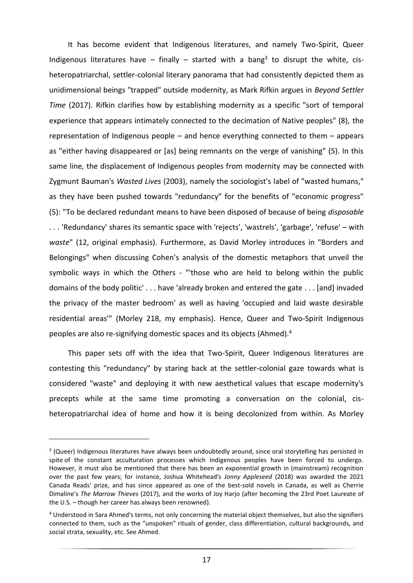It has become evident that Indigenous literatures, and namely Two-Spirit, Queer Indigenous literatures have  $-$  finally  $-$  started with a bang<sup>3</sup> to disrupt the white, cisheteropatriarchal, settler-colonial literary panorama that had consistently depicted them as unidimensional beings "trapped" outside modernity, as Mark Rifkin argues in *Beyond Settler Time* (2017). Rifkin clarifies how by establishing modernity as a specific "sort of temporal experience that appears intimately connected to the decimation of Native peoples" (8), the representation of Indigenous people – and hence everything connected to them – appears as "either having disappeared or [as] being remnants on the verge of vanishing" (5). In this same line, the displacement of Indigenous peoples from modernity may be connected with Zygmunt Bauman's *Wasted Lives* (2003), namely the sociologist's label of "wasted humans," as they have been pushed towards "redundancy" for the benefits of "economic progress" (5): "To be declared redundant means to have been disposed of because of being *disposable* . . . 'Redundancy' shares its semantic space with 'rejects', 'wastrels', 'garbage', 'refuse' – with *waste*" (12, original emphasis). Furthermore, as David Morley introduces in "Borders and Belongings" when discussing Cohen's analysis of the domestic metaphors that unveil the symbolic ways in which the Others - "'those who are held to belong within the public domains of the body politic' . . . have 'already broken and entered the gate . . . [and] invaded the privacy of the master bedroom' as well as having 'occupied and laid waste desirable residential areas'" (Morley 218, my emphasis). Hence, Queer and Two-Spirit Indigenous peoples are also re-signifying domestic spaces and its objects (Ahmed).<sup>4</sup>

This paper sets off with the idea that Two-Spirit, Queer Indigenous literatures are contesting this "redundancy" by staring back at the settler-colonial gaze towards what is considered "waste" and deploying it with new aesthetical values that escape modernity's precepts while at the same time promoting a conversation on the colonial, cisheteropatriarchal idea of home and how it is being decolonized from within. As Morley

<sup>&</sup>lt;sup>3</sup> (Queer) Indigenous literatures have always been undoubtedly around, since oral storytelling has persisted in spite of the constant acculturation processes which Indigenous peoples have been forced to undergo. However, it must also be mentioned that there has been an exponential growth in (mainstream) recognition over the past few years; for instance, Joshua Whitehead's *Jonny Appleseed* (2018) was awarded the 2021 Canada Reads' prize, and has since appeared as one of the best-sold novels in Canada, as well as Cherrie Dimaline's *The Marrow Thieves* (2017), and the works of Joy Harjo (after becoming the 23rd Poet Laureate of the U.S. – though her career has always been renowned).

<sup>4</sup> Understood in Sara Ahmed's terms, not only concerning the material object themselves, but also the signifiers connected to them, such as the "unspoken" rituals of gender, class differentiation, cultural backgrounds, and social strata, sexuality, etc. See Ahmed.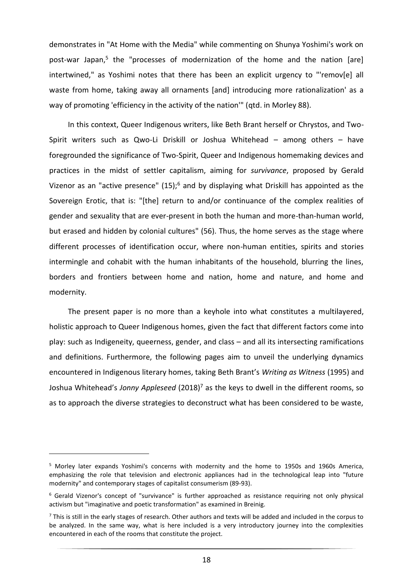demonstrates in "At Home with the Media" while commenting on Shunya Yoshimi's work on post-war Japan,<sup>5</sup> the "processes of modernization of the home and the nation [are] intertwined," as Yoshimi notes that there has been an explicit urgency to "'remov[e] all waste from home, taking away all ornaments [and] introducing more rationalization' as a way of promoting 'efficiency in the activity of the nation'" (qtd. in Morley 88).

In this context, Queer Indigenous writers, like Beth Brant herself or Chrystos, and Two-Spirit writers such as Qwo-Li Driskill or Joshua Whitehead – among others – have foregrounded the significance of Two-Spirit, Queer and Indigenous homemaking devices and practices in the midst of settler capitalism, aiming for *survivance*, proposed by Gerald Vizenor as an "active presence" (15);<sup>6</sup> and by displaying what Driskill has appointed as the Sovereign Erotic, that is: "[the] return to and/or continuance of the complex realities of gender and sexuality that are ever-present in both the human and more-than-human world, but erased and hidden by colonial cultures" (56). Thus, the home serves as the stage where different processes of identification occur, where non-human entities, spirits and stories intermingle and cohabit with the human inhabitants of the household, blurring the lines, borders and frontiers between home and nation, home and nature, and home and modernity.

The present paper is no more than a keyhole into what constitutes a multilayered, holistic approach to Queer Indigenous homes, given the fact that different factors come into play: such as Indigeneity, queerness, gender, and class – and all its intersecting ramifications and definitions. Furthermore, the following pages aim to unveil the underlying dynamics encountered in Indigenous literary homes, taking Beth Brant's *Writing as Witness* (1995) and Joshua Whitehead's *Jonny Appleseed* (2018)<sup>7</sup> as the keys to dwell in the different rooms, so as to approach the diverse strategies to deconstruct what has been considered to be waste,

<sup>5</sup> Morley later expands Yoshimi's concerns with modernity and the home to 1950s and 1960s America, emphasizing the role that television and electronic appliances had in the technological leap into "future modernity" and contemporary stages of capitalist consumerism (89-93).

<sup>6</sup> Gerald Vizenor's concept of "survivance" is further approached as resistance requiring not only physical activism but "imaginative and poetic transformation" as examined in Breinig.

 $^7$  This is still in the early stages of research. Other authors and texts will be added and included in the corpus to be analyzed. In the same way, what is here included is a very introductory journey into the complexities encountered in each of the rooms that constitute the project.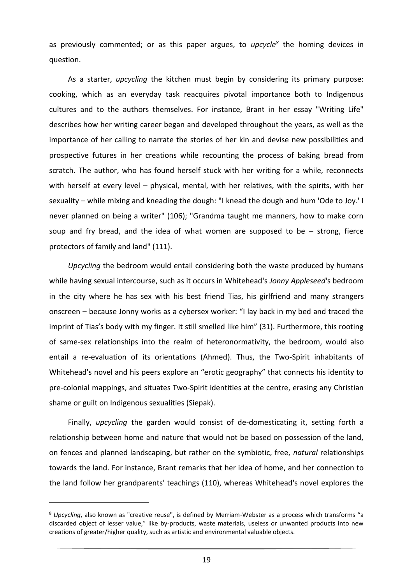as previously commented; or as this paper argues, to *upcycle<sup>8</sup>* the homing devices in question.

As a starter, *upcycling* the kitchen must begin by considering its primary purpose: cooking, which as an everyday task reacquires pivotal importance both to Indigenous cultures and to the authors themselves. For instance, Brant in her essay "Writing Life" describes how her writing career began and developed throughout the years, as well as the importance of her calling to narrate the stories of her kin and devise new possibilities and prospective futures in her creations while recounting the process of baking bread from scratch. The author, who has found herself stuck with her writing for a while, reconnects with herself at every level – physical, mental, with her relatives, with the spirits, with her sexuality – while mixing and kneading the dough: "I knead the dough and hum 'Ode to Joy.' I never planned on being a writer" (106); "Grandma taught me manners, how to make corn soup and fry bread, and the idea of what women are supposed to be  $-$  strong, fierce protectors of family and land" (111).

*Upcycling* the bedroom would entail considering both the waste produced by humans while having sexual intercourse, such as it occurs in Whitehead's *Jonny Appleseed*'s bedroom in the city where he has sex with his best friend Tias, his girlfriend and many strangers onscreen – because Jonny works as a cybersex worker: "I lay back in my bed and traced the imprint of Tias's body with my finger. It still smelled like him" (31). Furthermore, this rooting of same-sex relationships into the realm of heteronormativity, the bedroom, would also entail a re-evaluation of its orientations (Ahmed). Thus, the Two-Spirit inhabitants of Whitehead's novel and his peers explore an "erotic geography" that connects his identity to pre-colonial mappings, and situates Two-Spirit identities at the centre, erasing any Christian shame or guilt on Indigenous sexualities (Siepak).

Finally, *upcycling* the garden would consist of de-domesticating it, setting forth a relationship between home and nature that would not be based on possession of the land, on fences and planned landscaping, but rather on the symbiotic, free, *natural* relationships towards the land. For instance, Brant remarks that her idea of home, and her connection to the land follow her grandparents' teachings (110), whereas Whitehead's novel explores the

<sup>8</sup> *Upcycling*, also known as "creative reuse", is defined by Merriam-Webster as a process which transforms "a discarded object of lesser value," like by-products, waste materials, useless or unwanted products into new creations of greater/higher quality, such as artistic and environmental valuable objects.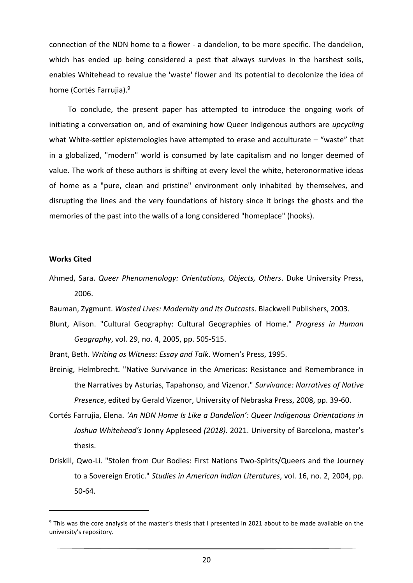connection of the NDN home to a flower - a dandelion, to be more specific. The dandelion, which has ended up being considered a pest that always survives in the harshest soils, enables Whitehead to revalue the 'waste' flower and its potential to decolonize the idea of home (Cortés Farrujia).<sup>9</sup>

To conclude, the present paper has attempted to introduce the ongoing work of initiating a conversation on, and of examining how Queer Indigenous authors are *upcycling* what White-settler epistemologies have attempted to erase and acculturate – "waste" that in a globalized, "modern" world is consumed by late capitalism and no longer deemed of value. The work of these authors is shifting at every level the white, heteronormative ideas of home as a "pure, clean and pristine" environment only inhabited by themselves, and disrupting the lines and the very foundations of history since it brings the ghosts and the memories of the past into the walls of a long considered "homeplace" (hooks).

#### **Works Cited**

Ahmed, Sara. *Queer Phenomenology: Orientations, Objects, Others*. Duke University Press, 2006.

Bauman, Zygmunt. *Wasted Lives: Modernity and Its Outcasts*. Blackwell Publishers, 2003.

- Blunt, Alison. "Cultural Geography: Cultural Geographies of Home." *Progress in Human Geography*, vol. 29, no. 4, 2005, pp. 505-515.
- Brant, Beth. *Writing as Witness: Essay and Talk*. Women's Press, 1995.
- Breinig, Helmbrecht. "Native Survivance in the Americas: Resistance and Remembrance in the Narratives by Asturias, Tapahonso, and Vizenor." *Survivance: Narratives of Native Presence*, edited by Gerald Vizenor, University of Nebraska Press, 2008, pp. 39-60.
- Cortés Farrujia, Elena. *'An NDN Home Is Like a Dandelion': Queer Indigenous Orientations in Joshua Whitehead's* Jonny Appleseed *(2018)*. 2021. University of Barcelona, master's thesis.
- Driskill, Qwo-Li. "Stolen from Our Bodies: First Nations Two-Spirits/Queers and the Journey to a Sovereign Erotic." *Studies in American Indian Literatures*, vol. 16, no. 2, 2004, pp. 50-64.

<sup>&</sup>lt;sup>9</sup> This was the core analysis of the master's thesis that I presented in 2021 about to be made available on the university's repository.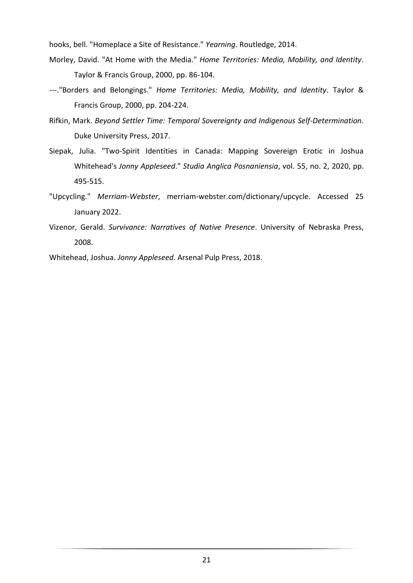hooks, bell. "Homeplace a Site of Resistance." *Yearning*. Routledge, 2014.

- Morley, David. "At Home with the Media." *Home Territories: Media, Mobility, and Identity*. Taylor & Francis Group, 2000, pp. 86-104.
- ---."Borders and Belongings." *Home Territories: Media, Mobility, and Identity*. Taylor & Francis Group, 2000, pp. 204-224.
- Rifkin, Mark. *Beyond Settler Time: Temporal Sovereignty and Indigenous Self-Determination*. Duke University Press, 2017.
- Siepak, Julia. "Two-Spirit Identities in Canada: Mapping Sovereign Erotic in Joshua Whitehead's *Jonny Appleseed*." *Studia Anglica Posnaniensia*, vol. 55, no. 2, 2020, pp. 495-515.
- "Upcycling." *Merriam-Webster*, merriam-webster.com/dictionary/upcycle. Accessed 25 January 2022.
- Vizenor, Gerald. *Survivance: Narratives of Native Presence*. University of Nebraska Press, 2008.

Whitehead, Joshua. *Jonny Appleseed*. Arsenal Pulp Press, 2018.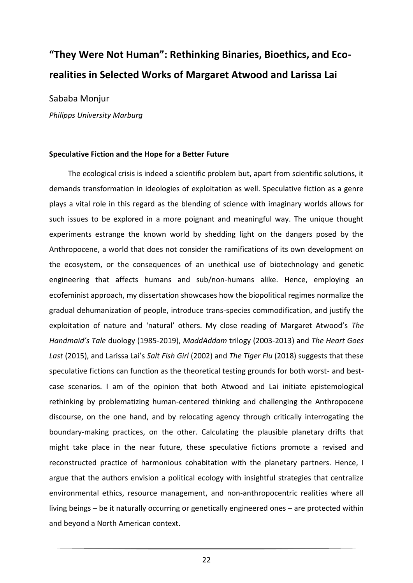## <span id="page-21-0"></span>**"They Were Not Human": Rethinking Binaries, Bioethics, and Ecorealities in Selected Works of Margaret Atwood and Larissa Lai**

Sababa Monjur

*Philipps University Marburg*

#### **Speculative Fiction and the Hope for a Better Future**

The ecological crisis is indeed a scientific problem but, apart from scientific solutions, it demands transformation in ideologies of exploitation as well. Speculative fiction as a genre plays a vital role in this regard as the blending of science with imaginary worlds allows for such issues to be explored in a more poignant and meaningful way. The unique thought experiments estrange the known world by shedding light on the dangers posed by the Anthropocene, a world that does not consider the ramifications of its own development on the ecosystem, or the consequences of an unethical use of biotechnology and genetic engineering that affects humans and sub/non-humans alike. Hence, employing an ecofeminist approach, my dissertation showcases how the biopolitical regimes normalize the gradual dehumanization of people, introduce trans-species commodification, and justify the exploitation of nature and 'natural' others. My close reading of Margaret Atwood's *The Handmaid's Tale* duology (1985-2019), *MaddAddam* trilogy (2003-2013) and *The Heart Goes Last* (2015), and Larissa Lai's *Salt Fish Girl* (2002) and *The Tiger Flu* (2018) suggests that these speculative fictions can function as the theoretical testing grounds for both worst- and bestcase scenarios. I am of the opinion that both Atwood and Lai initiate epistemological rethinking by problematizing human-centered thinking and challenging the Anthropocene discourse, on the one hand, and by relocating agency through critically interrogating the boundary-making practices, on the other. Calculating the plausible planetary drifts that might take place in the near future, these speculative fictions promote a revised and reconstructed practice of harmonious cohabitation with the planetary partners. Hence, I argue that the authors envision a political ecology with insightful strategies that centralize environmental ethics, resource management, and non-anthropocentric realities where all living beings – be it naturally occurring or genetically engineered ones – are protected within and beyond a North American context.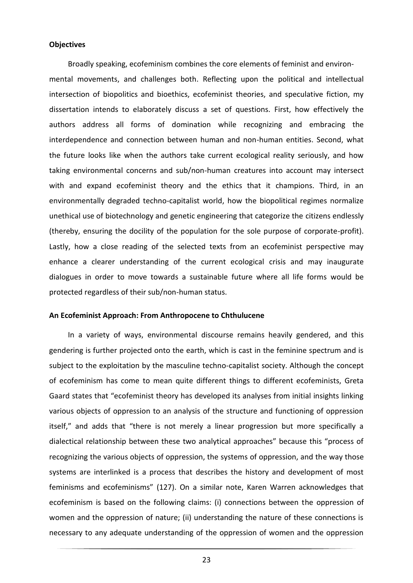#### **Objectives**

Broadly speaking, ecofeminism combines the core elements of feminist and environ-

mental movements, and challenges both. Reflecting upon the political and intellectual intersection of biopolitics and bioethics, ecofeminist theories, and speculative fiction, my dissertation intends to elaborately discuss a set of questions. First, how effectively the authors address all forms of domination while recognizing and embracing the interdependence and connection between human and non-human entities. Second, what the future looks like when the authors take current ecological reality seriously, and how taking environmental concerns and sub/non-human creatures into account may intersect with and expand ecofeminist theory and the ethics that it champions. Third, in an environmentally degraded techno-capitalist world, how the biopolitical regimes normalize unethical use of biotechnology and genetic engineering that categorize the citizens endlessly (thereby, ensuring the docility of the population for the sole purpose of corporate-profit). Lastly, how a close reading of the selected texts from an ecofeminist perspective may enhance a clearer understanding of the current ecological crisis and may inaugurate dialogues in order to move towards a sustainable future where all life forms would be protected regardless of their sub/non-human status.

#### **An Ecofeminist Approach: From Anthropocene to Chthulucene**

In a variety of ways, environmental discourse remains heavily gendered, and this gendering is further projected onto the earth, which is cast in the feminine spectrum and is subject to the exploitation by the masculine techno-capitalist society. Although the concept of ecofeminism has come to mean quite different things to different ecofeminists, Greta Gaard states that "ecofeminist theory has developed its analyses from initial insights linking various objects of oppression to an analysis of the structure and functioning of oppression itself," and adds that "there is not merely a linear progression but more specifically a dialectical relationship between these two analytical approaches" because this "process of recognizing the various objects of oppression, the systems of oppression, and the way those systems are interlinked is a process that describes the history and development of most feminisms and ecofeminisms" (127). On a similar note, Karen Warren acknowledges that ecofeminism is based on the following claims: (i) connections between the oppression of women and the oppression of nature; (ii) understanding the nature of these connections is necessary to any adequate understanding of the oppression of women and the oppression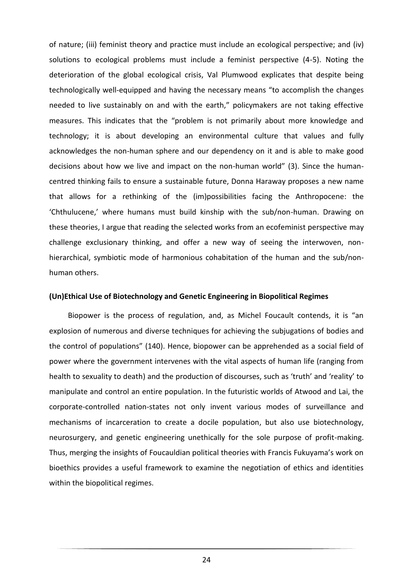of nature; (iii) feminist theory and practice must include an ecological perspective; and (iv) solutions to ecological problems must include a feminist perspective (4-5). Noting the deterioration of the global ecological crisis, Val Plumwood explicates that despite being technologically well-equipped and having the necessary means "to accomplish the changes needed to live sustainably on and with the earth," policymakers are not taking effective measures. This indicates that the "problem is not primarily about more knowledge and technology; it is about developing an environmental culture that values and fully acknowledges the non-human sphere and our dependency on it and is able to make good decisions about how we live and impact on the non-human world" (3). Since the humancentred thinking fails to ensure a sustainable future, Donna Haraway proposes a new name that allows for a rethinking of the (im)possibilities facing the Anthropocene: the 'Chthulucene,' where humans must build kinship with the sub/non-human. Drawing on these theories, I argue that reading the selected works from an ecofeminist perspective may challenge exclusionary thinking, and offer a new way of seeing the interwoven, nonhierarchical, symbiotic mode of harmonious cohabitation of the human and the sub/nonhuman others.

#### **(Un)Ethical Use of Biotechnology and Genetic Engineering in Biopolitical Regimes**

Biopower is the process of regulation, and, as Michel Foucault contends, it is "an explosion of numerous and diverse techniques for achieving the subjugations of bodies and the control of populations" (140). Hence, biopower can be apprehended as a social field of power where the government intervenes with the vital aspects of human life (ranging from health to sexuality to death) and the production of discourses, such as 'truth' and 'reality' to manipulate and control an entire population. In the futuristic worlds of Atwood and Lai, the corporate-controlled nation-states not only invent various modes of surveillance and mechanisms of incarceration to create a docile population, but also use biotechnology, neurosurgery, and genetic engineering unethically for the sole purpose of profit-making. Thus, merging the insights of Foucauldian political theories with Francis Fukuyama's work on bioethics provides a useful framework to examine the negotiation of ethics and identities within the biopolitical regimes.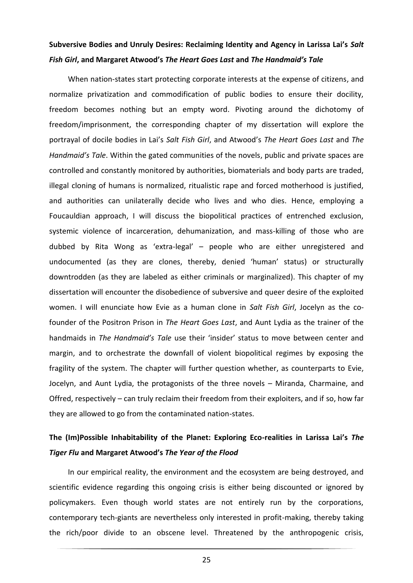## **Subversive Bodies and Unruly Desires: Reclaiming Identity and Agency in Larissa Lai's** *Salt Fish Girl***, and Margaret Atwood's** *The Heart Goes Last* **and** *The Handmaid's Tale*

When nation-states start protecting corporate interests at the expense of citizens, and normalize privatization and commodification of public bodies to ensure their docility, freedom becomes nothing but an empty word. Pivoting around the dichotomy of freedom/imprisonment, the corresponding chapter of my dissertation will explore the portrayal of docile bodies in Lai's *Salt Fish Girl*, and Atwood's *The Heart Goes Last* and *The Handmaid's Tale*. Within the gated communities of the novels, public and private spaces are controlled and constantly monitored by authorities, biomaterials and body parts are traded, illegal cloning of humans is normalized, ritualistic rape and forced motherhood is justified, and authorities can unilaterally decide who lives and who dies. Hence, employing a Foucauldian approach, I will discuss the biopolitical practices of entrenched exclusion, systemic violence of incarceration, dehumanization, and mass-killing of those who are dubbed by Rita Wong as 'extra-legal' – people who are either unregistered and undocumented (as they are clones, thereby, denied 'human' status) or structurally downtrodden (as they are labeled as either criminals or marginalized). This chapter of my dissertation will encounter the disobedience of subversive and queer desire of the exploited women. I will enunciate how Evie as a human clone in *Salt Fish Girl*, Jocelyn as the cofounder of the Positron Prison in *The Heart Goes Last*, and Aunt Lydia as the trainer of the handmaids in *The Handmaid's Tale* use their 'insider' status to move between center and margin, and to orchestrate the downfall of violent biopolitical regimes by exposing the fragility of the system. The chapter will further question whether, as counterparts to Evie, Jocelyn, and Aunt Lydia, the protagonists of the three novels – Miranda, Charmaine, and Offred, respectively – can truly reclaim their freedom from their exploiters, and if so, how far they are allowed to go from the contaminated nation-states.

## **The (Im)Possible Inhabitability of the Planet: Exploring Eco-realities in Larissa Lai's** *The Tiger Flu* **and Margaret Atwood's** *The Year of the Flood*

In our empirical reality, the environment and the ecosystem are being destroyed, and scientific evidence regarding this ongoing crisis is either being discounted or ignored by policymakers. Even though world states are not entirely run by the corporations, contemporary tech-giants are nevertheless only interested in profit-making, thereby taking the rich/poor divide to an obscene level. Threatened by the anthropogenic crisis,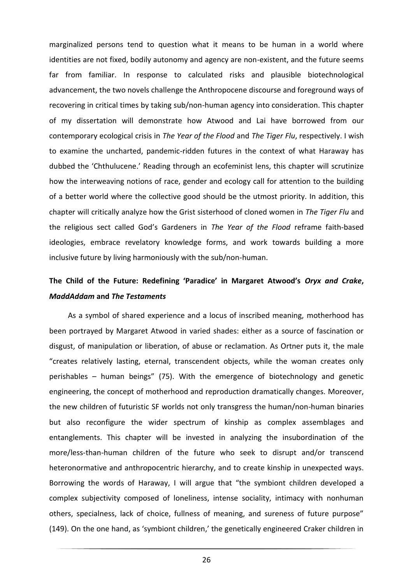marginalized persons tend to question what it means to be human in a world where identities are not fixed, bodily autonomy and agency are non-existent, and the future seems far from familiar. In response to calculated risks and plausible biotechnological advancement, the two novels challenge the Anthropocene discourse and foreground ways of recovering in critical times by taking sub/non-human agency into consideration. This chapter of my dissertation will demonstrate how Atwood and Lai have borrowed from our contemporary ecological crisis in *The Year of the Flood* and *The Tiger Flu*, respectively. I wish to examine the uncharted, pandemic-ridden futures in the context of what Haraway has dubbed the 'Chthulucene.' Reading through an ecofeminist lens, this chapter will scrutinize how the interweaving notions of race, gender and ecology call for attention to the building of a better world where the collective good should be the utmost priority. In addition, this chapter will critically analyze how the Grist sisterhood of cloned women in *The Tiger Flu* and the religious sect called God's Gardeners in *The Year of the Flood* reframe faith-based ideologies, embrace revelatory knowledge forms, and work towards building a more inclusive future by living harmoniously with the sub/non-human.

## **The Child of the Future: Redefining 'Paradice' in Margaret Atwood's** *Oryx and Crake***,**  *MaddAddam* **and** *The Testaments*

As a symbol of shared experience and a locus of inscribed meaning, motherhood has been portrayed by Margaret Atwood in varied shades: either as a source of fascination or disgust, of manipulation or liberation, of abuse or reclamation. As Ortner puts it, the male "creates relatively lasting, eternal, transcendent objects, while the woman creates only perishables – human beings" (75). With the emergence of biotechnology and genetic engineering, the concept of motherhood and reproduction dramatically changes. Moreover, the new children of futuristic SF worlds not only transgress the human/non-human binaries but also reconfigure the wider spectrum of kinship as complex assemblages and entanglements. This chapter will be invested in analyzing the insubordination of the more/less-than-human children of the future who seek to disrupt and/or transcend heteronormative and anthropocentric hierarchy, and to create kinship in unexpected ways. Borrowing the words of Haraway, I will argue that "the symbiont children developed a complex subjectivity composed of loneliness, intense sociality, intimacy with nonhuman others, specialness, lack of choice, fullness of meaning, and sureness of future purpose" (149). On the one hand, as 'symbiont children,' the genetically engineered Craker children in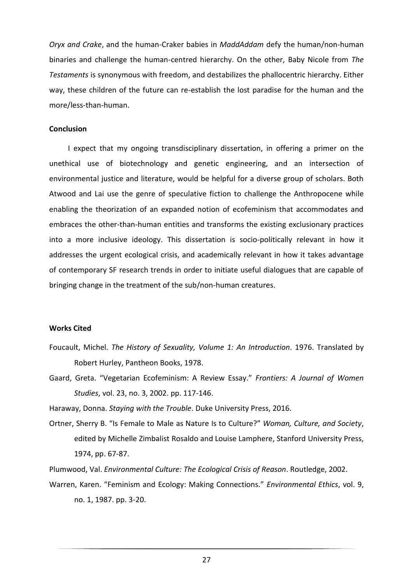*Oryx and Crake*, and the human-Craker babies in *MaddAddam* defy the human/non-human binaries and challenge the human-centred hierarchy. On the other, Baby Nicole from *The Testaments* is synonymous with freedom, and destabilizes the phallocentric hierarchy. Either way, these children of the future can re-establish the lost paradise for the human and the more/less-than-human.

#### **Conclusion**

I expect that my ongoing transdisciplinary dissertation, in offering a primer on the unethical use of biotechnology and genetic engineering, and an intersection of environmental justice and literature, would be helpful for a diverse group of scholars. Both Atwood and Lai use the genre of speculative fiction to challenge the Anthropocene while enabling the theorization of an expanded notion of ecofeminism that accommodates and embraces the other-than-human entities and transforms the existing exclusionary practices into a more inclusive ideology. This dissertation is socio-politically relevant in how it addresses the urgent ecological crisis, and academically relevant in how it takes advantage of contemporary SF research trends in order to initiate useful dialogues that are capable of bringing change in the treatment of the sub/non-human creatures.

#### **Works Cited**

- Foucault, Michel. *The History of Sexuality, Volume 1: An Introduction*. 1976. Translated by Robert Hurley, Pantheon Books, 1978.
- Gaard, Greta. "Vegetarian Ecofeminism: A Review Essay." *Frontiers: A Journal of Women Studies*, vol. 23, no. 3, 2002. pp. 117-146.

Haraway, Donna. *Staying with the Trouble*. Duke University Press, 2016.

Ortner, Sherry B. "Is Female to Male as Nature Is to Culture?" *Woman, Culture, and Society*, edited by Michelle Zimbalist Rosaldo and Louise Lamphere, Stanford University Press, 1974, pp. 67-87.

Plumwood, Val. *Environmental Culture: The Ecological Crisis of Reason*. Routledge, 2002.

Warren, Karen. "Feminism and Ecology: Making Connections." *Environmental Ethics*, vol. 9, no. 1, 1987. pp. 3-20.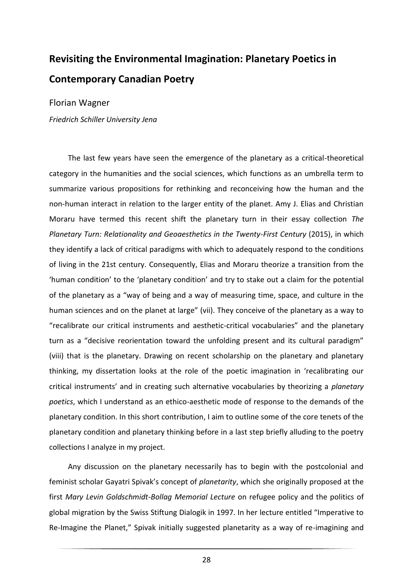## <span id="page-27-0"></span>**Revisiting the Environmental Imagination: Planetary Poetics in Contemporary Canadian Poetry**

Florian Wagner

*Friedrich Schiller University Jena*

The last few years have seen the emergence of the planetary as a critical-theoretical category in the humanities and the social sciences, which functions as an umbrella term to summarize various propositions for rethinking and reconceiving how the human and the non-human interact in relation to the larger entity of the planet. Amy J. Elias and Christian Moraru have termed this recent shift the planetary turn in their essay collection *The Planetary Turn: Relationality and Geoaesthetics in the Twenty-First Century* (2015), in which they identify a lack of critical paradigms with which to adequately respond to the conditions of living in the 21st century. Consequently, Elias and Moraru theorize a transition from the 'human condition' to the 'planetary condition' and try to stake out a claim for the potential of the planetary as a "way of being and a way of measuring time, space, and culture in the human sciences and on the planet at large" (vii). They conceive of the planetary as a way to "recalibrate our critical instruments and aesthetic-critical vocabularies" and the planetary turn as a "decisive reorientation toward the unfolding present and its cultural paradigm" (viii) that is the planetary. Drawing on recent scholarship on the planetary and planetary thinking, my dissertation looks at the role of the poetic imagination in 'recalibrating our critical instruments' and in creating such alternative vocabularies by theorizing a *planetary poetics*, which I understand as an ethico-aesthetic mode of response to the demands of the planetary condition. In this short contribution, I aim to outline some of the core tenets of the planetary condition and planetary thinking before in a last step briefly alluding to the poetry collections I analyze in my project.

Any discussion on the planetary necessarily has to begin with the postcolonial and feminist scholar Gayatri Spivak's concept of *planetarity*, which she originally proposed at the first *Mary Levin Goldschmidt-Bollag Memorial Lecture* on refugee policy and the politics of global migration by the Swiss Stiftung Dialogik in 1997. In her lecture entitled "Imperative to Re-Imagine the Planet," Spivak initially suggested planetarity as a way of re-imagining and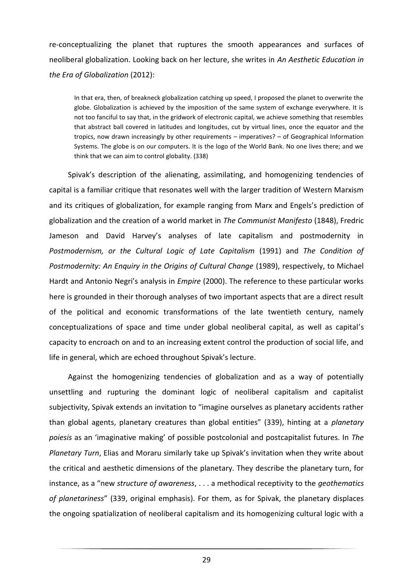re-conceptualizing the planet that ruptures the smooth appearances and surfaces of neoliberal globalization. Looking back on her lecture, she writes in *An Aesthetic Education in the Era of Globalization* (2012):

In that era, then, of breakneck globalization catching up speed, I proposed the planet to overwrite the globe. Globalization is achieved by the imposition of the same system of exchange everywhere. It is not too fanciful to say that, in the gridwork of electronic capital, we achieve something that resembles that abstract ball covered in latitudes and longitudes, cut by virtual lines, once the equator and the tropics, now drawn increasingly by other requirements – imperatives? – of Geographical Information Systems. The globe is on our computers. It is the logo of the World Bank. No one lives there; and we think that we can aim to control globality. (338)

Spivak's description of the alienating, assimilating, and homogenizing tendencies of capital is a familiar critique that resonates well with the larger tradition of Western Marxism and its critiques of globalization, for example ranging from Marx and Engels's prediction of globalization and the creation of a world market in *The Communist Manifesto* (1848), Fredric Jameson and David Harvey's analyses of late capitalism and postmodernity in *Postmodernism, or the Cultural Logic of Late Capitalism* (1991) and *The Condition of Postmodernity: An Enquiry in the Origins of Cultural Change* (1989), respectively, to Michael Hardt and Antonio Negri's analysis in *Empire* (2000). The reference to these particular works here is grounded in their thorough analyses of two important aspects that are a direct result of the political and economic transformations of the late twentieth century, namely conceptualizations of space and time under global neoliberal capital, as well as capital's capacity to encroach on and to an increasing extent control the production of social life, and life in general, which are echoed throughout Spivak's lecture.

Against the homogenizing tendencies of globalization and as a way of potentially unsettling and rupturing the dominant logic of neoliberal capitalism and capitalist subjectivity, Spivak extends an invitation to "imagine ourselves as planetary accidents rather than global agents, planetary creatures than global entities" (339), hinting at a *planetary poiesis* as an 'imaginative making' of possible postcolonial and postcapitalist futures. In *The Planetary Turn*, Elias and Moraru similarly take up Spivak's invitation when they write about the critical and aesthetic dimensions of the planetary. They describe the planetary turn, for instance, as a "new *structure of awareness*, . . . a methodical receptivity to the *geothematics of planetariness*" (339, original emphasis). For them, as for Spivak, the planetary displaces the ongoing spatialization of neoliberal capitalism and its homogenizing cultural logic with a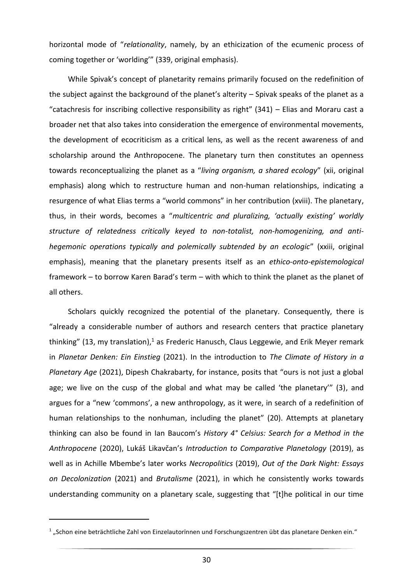horizontal mode of "*relationality*, namely, by an ethicization of the ecumenic process of coming together or 'worlding'" (339, original emphasis).

While Spivak's concept of planetarity remains primarily focused on the redefinition of the subject against the background of the planet's alterity – Spivak speaks of the planet as a "catachresis for inscribing collective responsibility as right"  $(341)$  – Elias and Moraru cast a broader net that also takes into consideration the emergence of environmental movements, the development of ecocriticism as a critical lens, as well as the recent awareness of and scholarship around the Anthropocene. The planetary turn then constitutes an openness towards reconceptualizing the planet as a "*living organism, a shared ecology*" (xii, original emphasis) along which to restructure human and non-human relationships, indicating a resurgence of what Elias terms a "world commons" in her contribution (xviii). The planetary, thus, in their words, becomes a "*multicentric and pluralizing, 'actually existing' worldly structure of relatedness critically keyed to non-totalist, non-homogenizing, and antihegemonic operations typically and polemically subtended by an ecologic*" (xxiii, original emphasis), meaning that the planetary presents itself as an *ethico-onto-epistemological* framework – to borrow Karen Barad's term – with which to think the planet as the planet of all others.

Scholars quickly recognized the potential of the planetary. Consequently, there is "already a considerable number of authors and research centers that practice planetary thinking" (13, my translation),<sup>1</sup> as Frederic Hanusch, Claus Leggewie, and Erik Meyer remark in *Planetar Denken: Ein Einstieg* (2021). In the introduction to *The Climate of History in a Planetary Age* (2021), Dipesh Chakrabarty, for instance, posits that "ours is not just a global age; we live on the cusp of the global and what may be called 'the planetary'" (3), and argues for a "new 'commons', a new anthropology, as it were, in search of a redefinition of human relationships to the nonhuman, including the planet" (20). Attempts at planetary thinking can also be found in Ian Baucom's *History 4° Celsius: Search for a Method in the Anthropocene* (2020), Lukáš Likavčan's *Introduction to Comparative Planetology* (2019), as well as in Achille Mbembe's later works *Necropolitics* (2019), *Out of the Dark Night: Essays on Decolonization* (2021) and *Brutalisme* (2021), in which he consistently works towards understanding community on a planetary scale, suggesting that "[t]he political in our time

 $^{\rm 1}$  "Schon eine beträchtliche Zahl von Einzelautorïnnen und Forschungszentren übt das planetare Denken ein."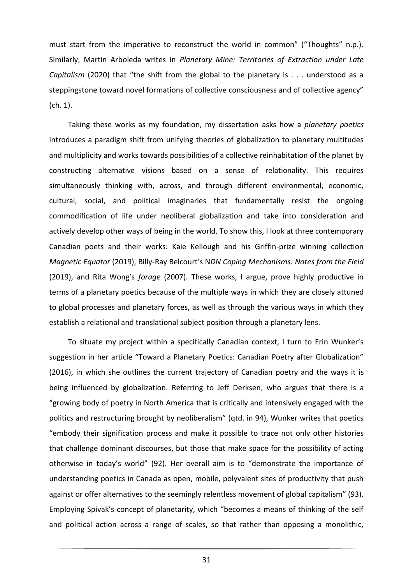must start from the imperative to reconstruct the world in common" ("Thoughts" n.p.). Similarly, Martin Arboleda writes in *Planetary Mine: Territories of Extraction under Late Capitalism* (2020) that "the shift from the global to the planetary is . . . understood as a steppingstone toward novel formations of collective consciousness and of collective agency" (ch. 1).

Taking these works as my foundation, my dissertation asks how a *planetary poetics* introduces a paradigm shift from unifying theories of globalization to planetary multitudes and multiplicity and works towards possibilities of a collective reinhabitation of the planet by constructing alternative visions based on a sense of relationality. This requires simultaneously thinking with, across, and through different environmental, economic, cultural, social, and political imaginaries that fundamentally resist the ongoing commodification of life under neoliberal globalization and take into consideration and actively develop other ways of being in the world. To show this, I look at three contemporary Canadian poets and their works: Kaie Kellough and his Griffin-prize winning collection *Magnetic Equator* (2019), Billy-Ray Belcourt's N*DN Coping Mechanisms: Notes from the Field* (2019), and Rita Wong's *forage* (2007). These works, I argue, prove highly productive in terms of a planetary poetics because of the multiple ways in which they are closely attuned to global processes and planetary forces, as well as through the various ways in which they establish a relational and translational subject position through a planetary lens.

To situate my project within a specifically Canadian context, I turn to Erin Wunker's suggestion in her article "Toward a Planetary Poetics: Canadian Poetry after Globalization" (2016), in which she outlines the current trajectory of Canadian poetry and the ways it is being influenced by globalization. Referring to Jeff Derksen, who argues that there is a "growing body of poetry in North America that is critically and intensively engaged with the politics and restructuring brought by neoliberalism" (qtd. in 94), Wunker writes that poetics "embody their signification process and make it possible to trace not only other histories that challenge dominant discourses, but those that make space for the possibility of acting otherwise in today's world" (92). Her overall aim is to "demonstrate the importance of understanding poetics in Canada as open, mobile, polyvalent sites of productivity that push against or offer alternatives to the seemingly relentless movement of global capitalism" (93). Employing Spivak's concept of planetarity, which "becomes a means of thinking of the self and political action across a range of scales, so that rather than opposing a monolithic,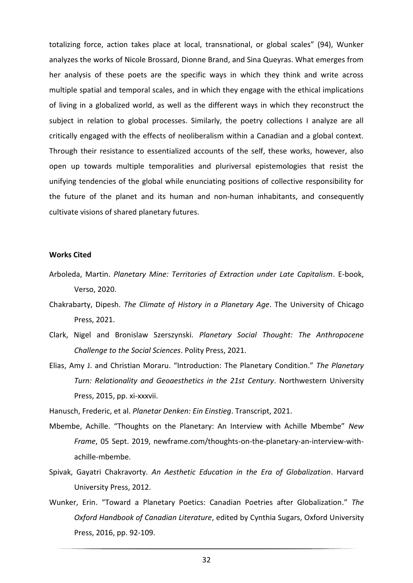totalizing force, action takes place at local, transnational, or global scales" (94), Wunker analyzes the works of Nicole Brossard, Dionne Brand, and Sina Queyras. What emerges from her analysis of these poets are the specific ways in which they think and write across multiple spatial and temporal scales, and in which they engage with the ethical implications of living in a globalized world, as well as the different ways in which they reconstruct the subject in relation to global processes. Similarly, the poetry collections I analyze are all critically engaged with the effects of neoliberalism within a Canadian and a global context. Through their resistance to essentialized accounts of the self, these works, however, also open up towards multiple temporalities and pluriversal epistemologies that resist the unifying tendencies of the global while enunciating positions of collective responsibility for the future of the planet and its human and non-human inhabitants, and consequently cultivate visions of shared planetary futures.

#### **Works Cited**

- Arboleda, Martin. *Planetary Mine: Territories of Extraction under Late Capitalism*. E-book, Verso, 2020.
- Chakrabarty, Dipesh. *The Climate of History in a Planetary Age*. The University of Chicago Press, 2021.
- Clark, Nigel and Bronislaw Szerszynski. *Planetary Social Thought: The Anthropocene Challenge to the Social Sciences*. Polity Press, 2021.
- Elias, Amy J. and Christian Moraru. "Introduction: The Planetary Condition." *The Planetary Turn: Relationality and Geoaesthetics in the 21st Century*. Northwestern University Press, 2015, pp. xi-xxxvii.

Hanusch, Frederic, et al. *Planetar Denken: Ein Einstieg*. Transcript, 2021.

- Mbembe, Achille. "Thoughts on the Planetary: An Interview with Achille Mbembe" *New Frame*, 05 Sept. 2019, newframe.com/thoughts-on-the-planetary-an-interview-withachille-mbembe.
- Spivak, Gayatri Chakravorty. *An Aesthetic Education in the Era of Globalization*. Harvard University Press, 2012.
- Wunker, Erin. "Toward a Planetary Poetics: Canadian Poetries after Globalization." *The Oxford Handbook of Canadian Literature*, edited by Cynthia Sugars, Oxford University Press, 2016, pp. 92-109.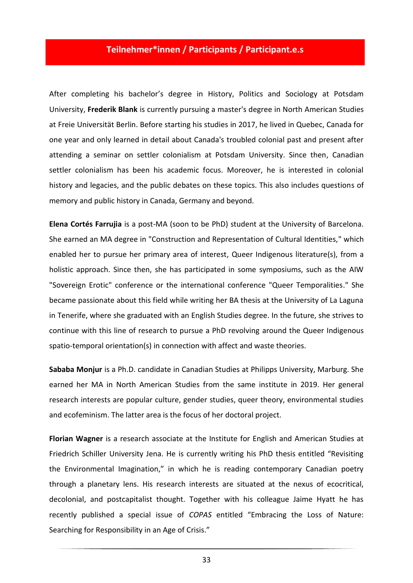## **Teilnehmer\*innen / Participants / Participant.e.s**

<span id="page-32-0"></span>After completing his bachelor's degree in History, Politics and Sociology at Potsdam University, **Frederik Blank** is currently pursuing a master's degree in North American Studies at Freie Universität Berlin. Before starting his studies in 2017, he lived in Quebec, Canada for one year and only learned in detail about Canada's troubled colonial past and present after attending a seminar on settler colonialism at Potsdam University. Since then, Canadian settler colonialism has been his academic focus. Moreover, he is interested in colonial history and legacies, and the public debates on these topics. This also includes questions of memory and public history in Canada, Germany and beyond.

**Elena Cortés Farrujia** is a post-MA (soon to be PhD) student at the University of Barcelona. She earned an MA degree in "Construction and Representation of Cultural Identities," which enabled her to pursue her primary area of interest, Queer Indigenous literature(s), from a holistic approach. Since then, she has participated in some symposiums, such as the AIW "Sovereign Erotic" conference or the international conference "Queer Temporalities." She became passionate about this field while writing her BA thesis at the University of La Laguna in Tenerife, where she graduated with an English Studies degree. In the future, she strives to continue with this line of research to pursue a PhD revolving around the Queer Indigenous spatio-temporal orientation(s) in connection with affect and waste theories.

**Sababa Monjur** is a Ph.D. candidate in Canadian Studies at Philipps University, Marburg. She earned her MA in North American Studies from the same institute in 2019. Her general research interests are popular culture, gender studies, queer theory, environmental studies and ecofeminism. The latter area is the focus of her doctoral project.

**Florian Wagner** is a research associate at the Institute for English and American Studies at Friedrich Schiller University Jena. He is currently writing his PhD thesis entitled "Revisiting the Environmental Imagination," in which he is reading contemporary Canadian poetry through a planetary lens. His research interests are situated at the nexus of ecocritical, decolonial, and postcapitalist thought. Together with his colleague Jaime Hyatt he has recently published a special issue of *COPAS* entitled "Embracing the Loss of Nature: Searching for Responsibility in an Age of Crisis."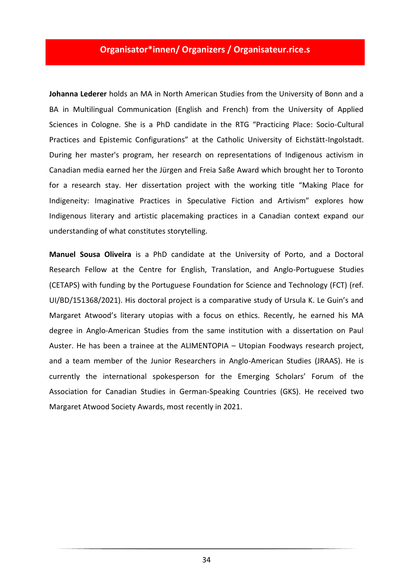### **Organisator\*innen/ Organizers / Organisateur.rice.s**

<span id="page-33-0"></span>**Johanna Lederer** holds an MA in North American Studies from the University of Bonn and a BA in Multilingual Communication (English and French) from the University of Applied Sciences in Cologne. She is a PhD candidate in the RTG "Practicing Place: Socio-Cultural Practices and Epistemic Configurations" at the Catholic University of Eichstätt-Ingolstadt. During her master's program, her research on representations of Indigenous activism in Canadian media earned her the Jürgen and Freia Saße Award which brought her to Toronto for a research stay. Her dissertation project with the working title "Making Place for Indigeneity: Imaginative Practices in Speculative Fiction and Artivism" explores how Indigenous literary and artistic placemaking practices in a Canadian context expand our understanding of what constitutes storytelling.

**Manuel Sousa Oliveira** is a PhD candidate at the University of Porto, and a Doctoral Research Fellow at the Centre for English, Translation, and Anglo-Portuguese Studies (CETAPS) with funding by the Portuguese Foundation for Science and Technology (FCT) (ref. UI/BD/151368/2021). His doctoral project is a comparative study of Ursula K. Le Guin's and Margaret Atwood's literary utopias with a focus on ethics. Recently, he earned his MA degree in Anglo-American Studies from the same institution with a dissertation on Paul Auster. He has been a trainee at the ALIMENTOPIA – Utopian Foodways research project, and a team member of the Junior Researchers in Anglo-American Studies (JRAAS). He is currently the international spokesperson for the Emerging Scholars' Forum of the Association for Canadian Studies in German-Speaking Countries (GKS). He received two Margaret Atwood Society Awards, most recently in 2021.